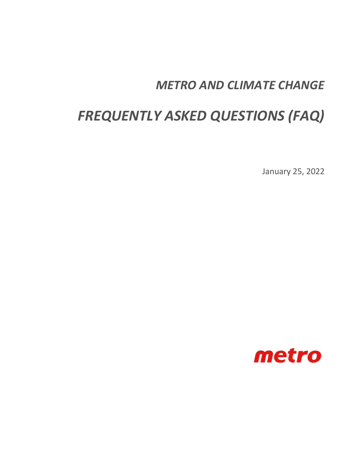## *METRO AND CLIMATE CHANGE*

# *FREQUENTLY ASKED QUESTIONS (FAQ)*

January 25, 2022

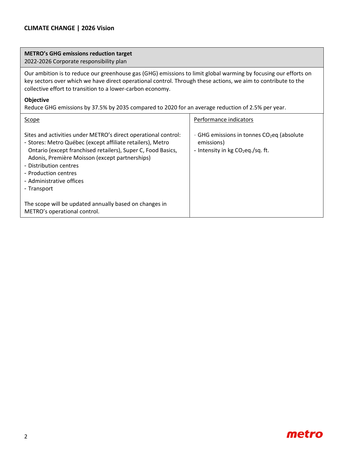#### **CLIMATE CHANGE | 2026 Vision**

#### **METRO's GHG emissions reduction target**

2022-2026 Corporate responsibility plan

Our ambition is to reduce our greenhouse gas (GHG) emissions to limit global warming by focusing our efforts on key sectors over which we have direct operational control. Through these actions, we aim to contribute to the collective effort to transition to a lower-carbon economy.

#### **Objective**

Reduce GHG emissions by 37.5% by 2035 compared to 2020 for an average reduction of 2.5% per year.

| Scope                                                                                                                                                                                                                                                                                                                                       | Performance indicators                                                                                        |
|---------------------------------------------------------------------------------------------------------------------------------------------------------------------------------------------------------------------------------------------------------------------------------------------------------------------------------------------|---------------------------------------------------------------------------------------------------------------|
| Sites and activities under METRO's direct operational control:<br>- Stores: Metro Québec (except affiliate retailers), Metro<br>Ontario (except franchised retailers), Super C, Food Basics,<br>Adonis, Première Moisson (except partnerships)<br>- Distribution centres<br>- Production centres<br>- Administrative offices<br>- Transport | - GHG emissions in tonnes $CO2$ eq (absolute<br>emissions)<br>- Intensity in $kg$ CO <sub>2</sub> eq./sq. ft. |
| The scope will be updated annually based on changes in<br>METRO's operational control.                                                                                                                                                                                                                                                      |                                                                                                               |

### metro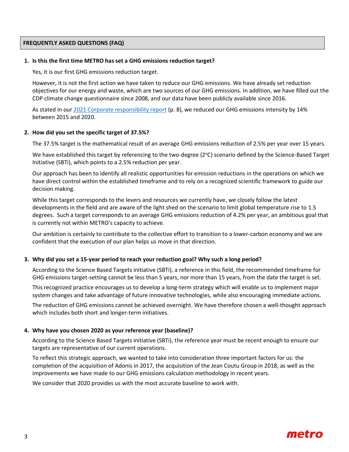#### **FREQUENTLY ASKED QUESTIONS (FAQ)**

#### **1. Is this the first time METRO has set a GHG emissions reduction target?**

Yes, it is our first GHG emissions reduction target.

However, it is not the first action we have taken to reduce our GHG emissions. We have already set reduction objectives for our energy and waste, which are two sources of our GHG emissions. In addition, we have filled out the CDP climate change questionnaire since 2008, and our data have been publicly available since 2016.

As stated in our [2021 Corporate responsibility report](https://corpo.metro.ca/userfiles/file/PDF/2021-cr-report) (p. 8), we reduced our GHG emissions intensity by 14% between 2015 and 2020.

#### **2. How did you set the specific target of 37.5%?**

The 37.5% target is the mathematical result of an average GHG emissions reduction of 2.5% per year over 15 years.

We have established this target by referencing to the two-degree (2°C) scenario defined by the Science-Based Target Initiative (SBTi), which points to a 2.5% reduction per year.

Our approach has been to identify all realistic opportunities for emission reductions in the operations on which we have direct control within the established timeframe and to rely on a recognized scientific framework to guide our decision making.

While this target corresponds to the levers and resources we currently have, we closely follow the latest developments in the field and are aware of the light shed on the scenario to limit global temperature rise to 1.5 degrees. Such a target corresponds to an average GHG emissions reduction of 4.2% per year, an ambitious goal that is currently not within METRO's capacity to achieve.

Our ambition is certainly to contribute to the collective effort to transition to a lower-carbon economy and we are confident that the execution of our plan helps us move in that direction.

#### **3. Why did you set a 15-year period to reach your reduction goal? Why such a long period?**

According to the Science Based Targets initiative (SBTi), a reference in this field, the recommended timeframe for GHG emissions target-setting cannot be less than 5 years, nor more than 15 years, from the date the target is set.

This recognized practice encourages us to develop a long-term strategy which will enable us to implement major system changes and take advantage of future innovative technologies, while also encouraging immediate actions.

The reduction of GHG emissions cannot be achieved overnight. We have therefore chosen a well-thought approach which includes both short and longer-term initiatives.

#### **4. Why have you chosen 2020 as your reference year (baseline)?**

According to the Science Based Targets initiative (SBTi), the reference year must be recent enough to ensure our targets are representative of our current operations.

To reflect this strategic approach, we wanted to take into consideration three important factors for us: the completion of the acquisition of Adonis in 2017, the acquisition of the Jean Coutu Group in 2018, as well as the improvements we have made to our GHG emissions calculation methodology in recent years.

We consider that 2020 provides us with the most accurate baseline to work with.

### metro